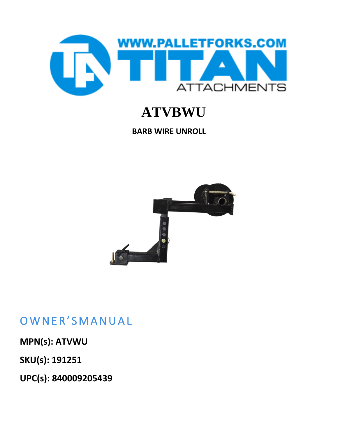

# **ATVBWU**

**BARB WIRE UNROLL**



# OWNER'SMANUAL

### **MPN(s): ATVWU**

**SKU(s): 191251**

**UPC(s): 840009205439**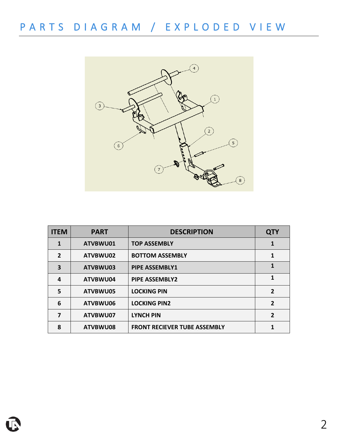

| <b>ITEM</b>    | <b>PART</b> | <b>DESCRIPTION</b>                  | <b>QTY</b>     |
|----------------|-------------|-------------------------------------|----------------|
| 1              | ATVBWU01    | <b>TOP ASSEMBLY</b>                 | 1              |
| $\overline{2}$ | ATVBWU02    | <b>BOTTOM ASSEMBLY</b>              | 1              |
| 3              | ATVBWU03    | <b>PIPE ASSEMBLY1</b>               | 1              |
| 4              | ATVBWU04    | <b>PIPE ASSEMBLY2</b>               | 1              |
| 5              | ATVBWU05    | <b>LOCKING PIN</b>                  | $\overline{2}$ |
| 6              | ATVBWU06    | <b>LOCKING PIN2</b>                 | $\mathfrak{p}$ |
| 7              | ATVBWU07    | <b>LYNCH PIN</b>                    | $\overline{2}$ |
| 8              | ATVBWU08    | <b>FRONT RECIEVER TUBE ASSEMBLY</b> |                |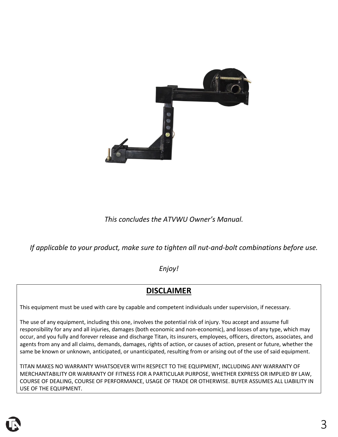

### *This concludes the ATVWU Owner's Manual.*

*If applicable to your product, make sure to tighten all nut-and-bolt combinations before use.*

#### *Enjoy!*

### **DISCLAIMER**

This equipment must be used with care by capable and competent individuals under supervision, if necessary.

The use of any equipment, including this one, involves the potential risk of injury. You accept and assume full responsibility for any and all injuries, damages (both economic and non-economic), and losses of any type, which may occur, and you fully and forever release and discharge Titan, its insurers, employees, officers, directors, associates, and agents from any and all claims, demands, damages, rights of action, or causes of action, present or future, whether the same be known or unknown, anticipated, or unanticipated, resulting from or arising out of the use of said equipment.

TITAN MAKES NO WARRANTY WHATSOEVER WITH RESPECT TO THE EQUIPMENT, INCLUDING ANY WARRANTY OF MERCHANTABILITY OR WARRANTY OF FITNESS FOR A PARTICULAR PURPOSE, WHETHER EXPRESS OR IMPLIED BY LAW, COURSE OF DEALING, COURSE OF PERFORMANCE, USAGE OF TRADE OR OTHERWISE. BUYER ASSUMES ALL LIABILITY IN USE OF THE EQUIPMENT.